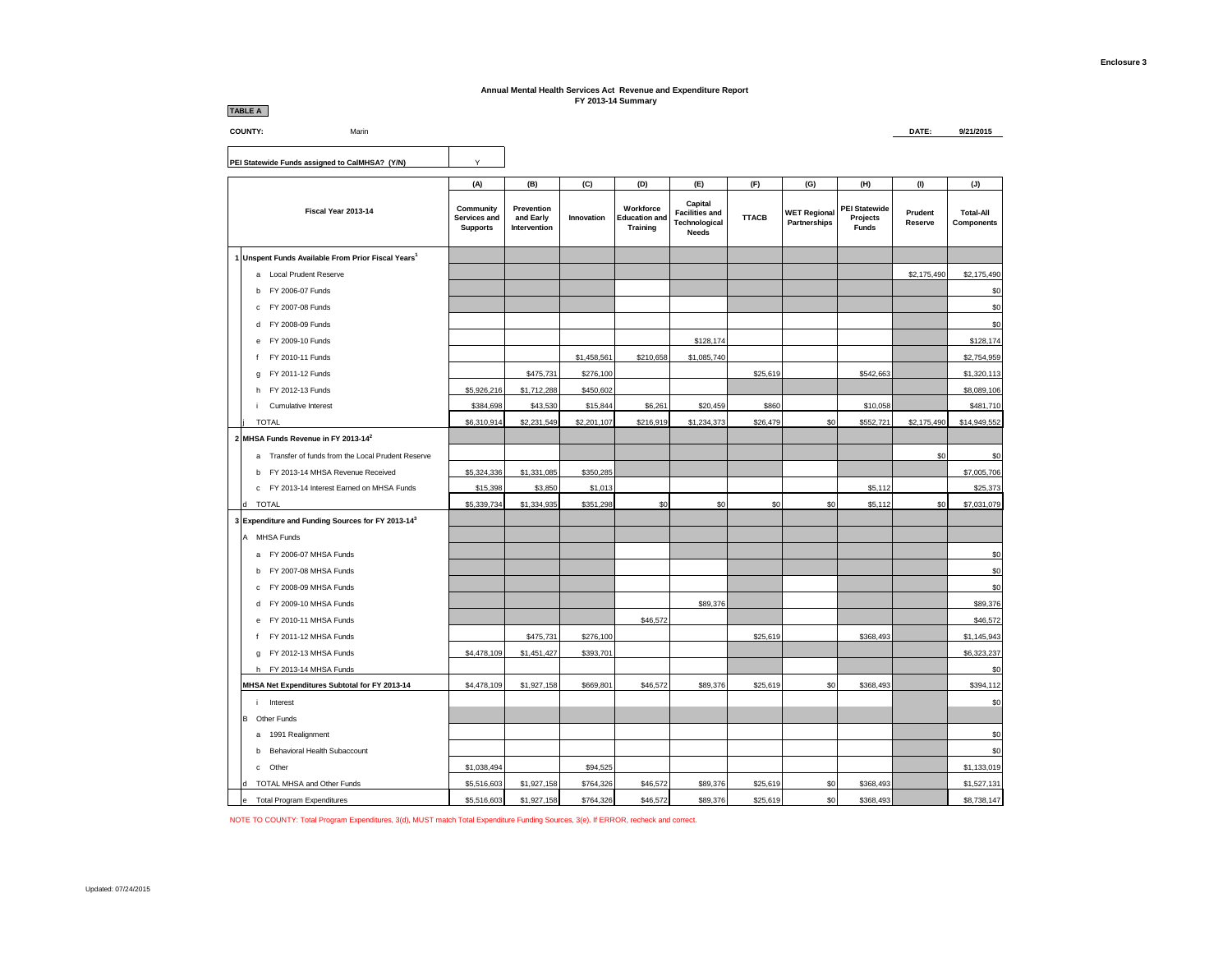## **Annual Mental Health Services Act Revenue and Expenditure Report FY 2013-14 Summary**

| <b>TABLE A</b>                                        |                                              |                                         |             | 1 1 2010-1 <del>1</del> Juliana y                    |                                                                   |              |                                     |                                                  |                    |                                |
|-------------------------------------------------------|----------------------------------------------|-----------------------------------------|-------------|------------------------------------------------------|-------------------------------------------------------------------|--------------|-------------------------------------|--------------------------------------------------|--------------------|--------------------------------|
| <b>COUNTY:</b><br>Marin                               |                                              |                                         |             |                                                      |                                                                   |              |                                     |                                                  | DATE:              | 9/21/2015                      |
|                                                       |                                              |                                         |             |                                                      |                                                                   |              |                                     |                                                  |                    |                                |
| PEI Statewide Funds assigned to CaIMHSA? (Y/N)        | Υ                                            |                                         |             |                                                      |                                                                   |              |                                     |                                                  |                    |                                |
|                                                       | (A)                                          | (B)                                     | (C)         | (D)                                                  | (E)                                                               | (F)          | (G)                                 | (H)                                              | (1)                | (J)                            |
| Fiscal Year 2013-14                                   | Community<br>Services and<br><b>Supports</b> | Prevention<br>and Early<br>Intervention | Innovation  | Workforce<br><b>Education and</b><br><b>Training</b> | Capital<br><b>Facilities and</b><br>Technological<br><b>Needs</b> | <b>TTACB</b> | <b>WET Regional</b><br>Partnerships | <b>PEI Statewide</b><br>Projects<br><b>Funds</b> | Prudent<br>Reserve | <b>Total-All</b><br>Components |
| 1 Unspent Funds Available From Prior Fiscal Years1    |                                              |                                         |             |                                                      |                                                                   |              |                                     |                                                  |                    |                                |
| a Local Prudent Reserve                               |                                              |                                         |             |                                                      |                                                                   |              |                                     |                                                  | \$2,175,490        | \$2,175,490                    |
| FY 2006-07 Funds<br>b                                 |                                              |                                         |             |                                                      |                                                                   |              |                                     |                                                  |                    | \$0                            |
| FY 2007-08 Funds<br>c                                 |                                              |                                         |             |                                                      |                                                                   |              |                                     |                                                  |                    | \$0                            |
| FY 2008-09 Funds<br>d                                 |                                              |                                         |             |                                                      |                                                                   |              |                                     |                                                  |                    | \$0                            |
| FY 2009-10 Funds<br>e                                 |                                              |                                         |             |                                                      | \$128,174                                                         |              |                                     |                                                  |                    | \$128,174                      |
| FY 2010-11 Funds<br>$\mathbf f$                       |                                              |                                         | \$1,458,561 | \$210,658                                            | \$1,085,740                                                       |              |                                     |                                                  |                    | \$2,754,959                    |
| FY 2011-12 Funds<br>g                                 |                                              | \$475,731                               | \$276,100   |                                                      |                                                                   | \$25,619     |                                     | \$542,663                                        |                    | \$1,320,113                    |
| FY 2012-13 Funds<br>h                                 | \$5,926,216                                  | \$1,712,288                             | \$450,602   |                                                      |                                                                   |              |                                     |                                                  |                    | \$8,089,106                    |
| Cumulative Interest                                   | \$384,698                                    | \$43,530                                | \$15,844    | \$6,261                                              | \$20,459                                                          | \$860        |                                     | \$10,058                                         |                    | \$481,710                      |
| <b>TOTAL</b>                                          | \$6,310,914                                  | \$2,231,549                             | \$2,201,107 | \$216,919                                            | \$1,234,373                                                       | \$26,479     | \$0                                 | \$552,721                                        | \$2,175,490        | \$14,949,552                   |
| 2 MHSA Funds Revenue in FY 2013-142                   |                                              |                                         |             |                                                      |                                                                   |              |                                     |                                                  |                    |                                |
| Transfer of funds from the Local Prudent Reserve<br>a |                                              |                                         |             |                                                      |                                                                   |              |                                     |                                                  | \$0                | \$0                            |
| FY 2013-14 MHSA Revenue Received<br>h                 | \$5,324,336                                  | \$1,331,085                             | \$350,285   |                                                      |                                                                   |              |                                     |                                                  |                    | \$7,005,706                    |
| c FY 2013-14 Interest Earned on MHSA Funds            | \$15,398                                     | \$3,850                                 | \$1,013     |                                                      |                                                                   |              |                                     | \$5,112                                          |                    | \$25,373                       |
| <b>TOTAL</b>                                          | \$5,339,734                                  | \$1,334,935                             | \$351,298   | \$0                                                  | \$0                                                               | \$0          | \$0                                 | \$5,112                                          | \$0                | \$7,031,079                    |
| 3 Expenditure and Funding Sources for FY 2013-143     |                                              |                                         |             |                                                      |                                                                   |              |                                     |                                                  |                    |                                |
| A MHSA Funds                                          |                                              |                                         |             |                                                      |                                                                   |              |                                     |                                                  |                    |                                |
| a FY 2006-07 MHSA Funds                               |                                              |                                         |             |                                                      |                                                                   |              |                                     |                                                  |                    | \$0                            |
| FY 2007-08 MHSA Funds<br>h                            |                                              |                                         |             |                                                      |                                                                   |              |                                     |                                                  |                    | \$0                            |
| FY 2008-09 MHSA Funds<br>c.                           |                                              |                                         |             |                                                      |                                                                   |              |                                     |                                                  |                    | \$0                            |
| FY 2009-10 MHSA Funds<br>d                            |                                              |                                         |             |                                                      | \$89,376                                                          |              |                                     |                                                  |                    | \$89,376                       |
| FY 2010-11 MHSA Funds<br>e                            |                                              |                                         |             | \$46,572                                             |                                                                   |              |                                     |                                                  |                    | \$46,572                       |
| FY 2011-12 MHSA Funds<br>f                            |                                              | \$475,731                               | \$276,100   |                                                      |                                                                   | \$25,619     |                                     | \$368,493                                        |                    | \$1,145,943                    |
| FY 2012-13 MHSA Funds<br>g                            | \$4,478,109                                  | \$1,451,427                             | \$393,701   |                                                      |                                                                   |              |                                     |                                                  |                    | \$6,323,237                    |
| h FY 2013-14 MHSA Funds                               |                                              |                                         |             |                                                      |                                                                   |              |                                     |                                                  |                    | \$0                            |
| MHSA Net Expenditures Subtotal for FY 2013-14         | \$4,478,109                                  | \$1,927,158                             | \$669,801   | \$46,572                                             | \$89,376                                                          | \$25,619     | \$0                                 | \$368,493                                        |                    | \$394,112                      |
| Interest<br>i.                                        |                                              |                                         |             |                                                      |                                                                   |              |                                     |                                                  |                    | \$0                            |
| в<br>Other Funds                                      |                                              |                                         |             |                                                      |                                                                   |              |                                     |                                                  |                    |                                |
| a 1991 Realignment                                    |                                              |                                         |             |                                                      |                                                                   |              |                                     |                                                  |                    | \$0                            |
| Behavioral Health Subaccount<br>h                     |                                              |                                         |             |                                                      |                                                                   |              |                                     |                                                  |                    | \$0                            |
| Other<br>c.                                           | \$1,038,494                                  |                                         | \$94,525    |                                                      |                                                                   |              |                                     |                                                  |                    | \$1,133,019                    |
| TOTAL MHSA and Other Funds<br>H                       | \$5,516,603                                  | \$1,927,158                             | \$764,326   | \$46,572                                             | \$89,376                                                          | \$25,619     | \$0                                 | \$368,493                                        |                    | \$1,527,131                    |
| <b>Total Program Expenditures</b><br>e                | \$5,516,603                                  | \$1,927,158                             | \$764.326   | \$46.572                                             | \$89,376                                                          | \$25,619     | \$0                                 | \$368,493                                        |                    | \$8,738,147                    |

NOTE TO COUNTY: Total Program Expenditures, 3(d), MUST match Total Expenditure Funding Sources, 3(e). If ERROR, recheck and correct.